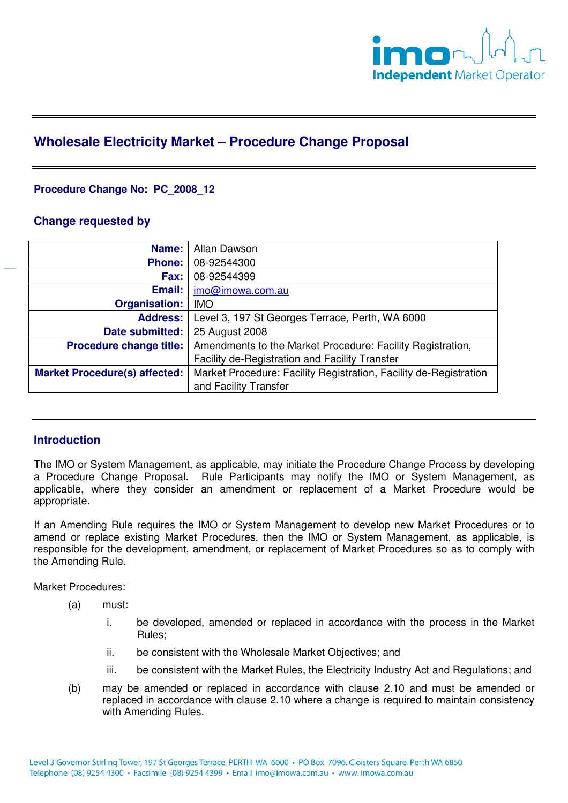

# **Wholesale Electricity Market – Procedure Change Proposal**

# **Procedure Change No: PC\_2008\_12**

### **Change requested by**

| Name:                                | Allan Dawson                                                      |
|--------------------------------------|-------------------------------------------------------------------|
| <b>Phone:</b>                        | 08-92544300                                                       |
| Fax:                                 | 08-92544399                                                       |
| Email:                               | imo@imowa.com.au                                                  |
| <b>Organisation:</b>                 | <b>IMO</b>                                                        |
| <b>Address:</b>                      | Level 3, 197 St Georges Terrace, Perth, WA 6000                   |
| Date submitted:                      | 25 August 2008                                                    |
| <b>Procedure change title:</b>       | Amendments to the Market Procedure: Facility Registration,        |
|                                      | <b>Facility de-Registration and Facility Transfer</b>             |
| <b>Market Procedure(s) affected:</b> | Market Procedure: Facility Registration, Facility de-Registration |
|                                      | and Facility Transfer                                             |

# **Introduction**

The IMO or System Management, as applicable, may initiate the Procedure Change Process by developing a Procedure Change Proposal. Rule Participants may notify the IMO or System Management, as applicable, where they consider an amendment or replacement of a Market Procedure would be appropriate.

If an Amending Rule requires the IMO or System Management to develop new Market Procedures or to amend or replace existing Market Procedures, then the IMO or System Management, as applicable, is responsible for the development, amendment, or replacement of Market Procedures so as to comply with the Amending Rule.

Market Procedures:

- (a) must:
	- i. be developed, amended or replaced in accordance with the process in the Market Rules;
	- ii. be consistent with the Wholesale Market Objectives; and
	- iii. be consistent with the Market Rules, the Electricity Industry Act and Regulations; and
- (b) may be amended or replaced in accordance with clause 2.10 and must be amended or replaced in accordance with clause 2.10 where a change is required to maintain consistency with Amending Rules.